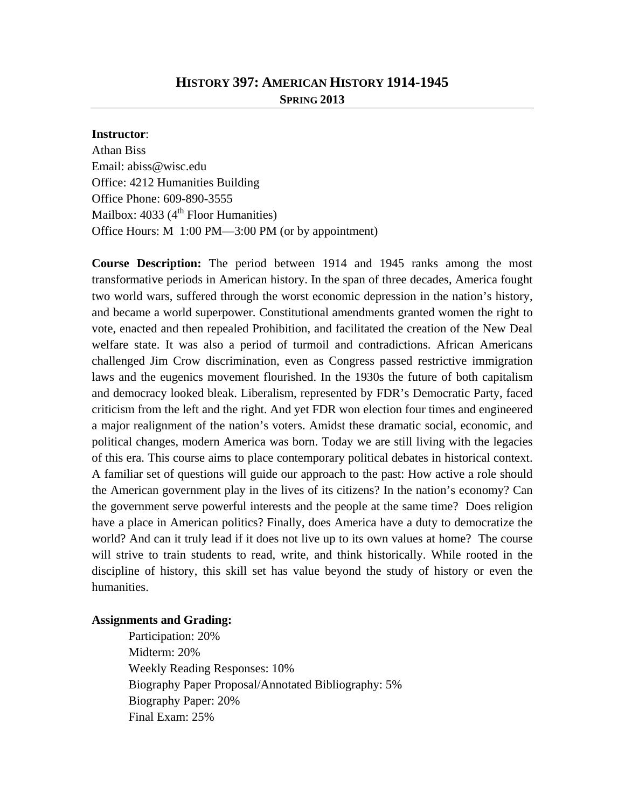## **HISTORY 397: AMERICAN HISTORY 1914-1945**

**SPRING 2013** 

#### **Instructor**:

Athan Biss Email: abiss@wisc.edu Office: 4212 Humanities Building Office Phone: 609-890-3555 Mailbox:  $4033 \left(4^{th} \right)$  Floor Humanities) Office Hours: M 1:00 PM—3:00 PM (or by appointment)

**Course Description:** The period between 1914 and 1945 ranks among the most transformative periods in American history. In the span of three decades, America fought two world wars, suffered through the worst economic depression in the nation's history, and became a world superpower. Constitutional amendments granted women the right to vote, enacted and then repealed Prohibition, and facilitated the creation of the New Deal welfare state. It was also a period of turmoil and contradictions. African Americans challenged Jim Crow discrimination, even as Congress passed restrictive immigration laws and the eugenics movement flourished. In the 1930s the future of both capitalism and democracy looked bleak. Liberalism, represented by FDR's Democratic Party, faced criticism from the left and the right. And yet FDR won election four times and engineered a major realignment of the nation's voters. Amidst these dramatic social, economic, and political changes, modern America was born. Today we are still living with the legacies of this era. This course aims to place contemporary political debates in historical context. A familiar set of questions will guide our approach to the past: How active a role should the American government play in the lives of its citizens? In the nation's economy? Can the government serve powerful interests and the people at the same time? Does religion have a place in American politics? Finally, does America have a duty to democratize the world? And can it truly lead if it does not live up to its own values at home? The course will strive to train students to read, write, and think historically. While rooted in the discipline of history, this skill set has value beyond the study of history or even the humanities.

## **Assignments and Grading:**

 Participation: 20% Midterm: 20% Weekly Reading Responses: 10% Biography Paper Proposal/Annotated Bibliography: 5% Biography Paper: 20% Final Exam: 25%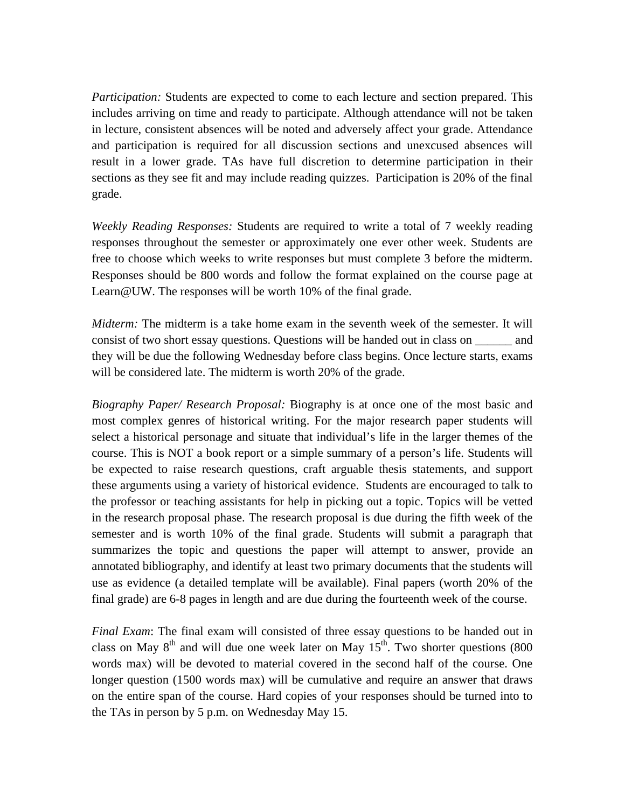*Participation:* Students are expected to come to each lecture and section prepared. This includes arriving on time and ready to participate. Although attendance will not be taken in lecture, consistent absences will be noted and adversely affect your grade. Attendance and participation is required for all discussion sections and unexcused absences will result in a lower grade. TAs have full discretion to determine participation in their sections as they see fit and may include reading quizzes. Participation is 20% of the final grade.

*Weekly Reading Responses:* Students are required to write a total of 7 weekly reading responses throughout the semester or approximately one ever other week. Students are free to choose which weeks to write responses but must complete 3 before the midterm. Responses should be 800 words and follow the format explained on the course page at Learn@UW. The responses will be worth 10% of the final grade.

*Midterm:* The midterm is a take home exam in the seventh week of the semester. It will consist of two short essay questions. Questions will be handed out in class on \_\_\_\_\_\_ and they will be due the following Wednesday before class begins. Once lecture starts, exams will be considered late. The midterm is worth 20% of the grade.

*Biography Paper/ Research Proposal:* Biography is at once one of the most basic and most complex genres of historical writing. For the major research paper students will select a historical personage and situate that individual's life in the larger themes of the course. This is NOT a book report or a simple summary of a person's life. Students will be expected to raise research questions, craft arguable thesis statements, and support these arguments using a variety of historical evidence. Students are encouraged to talk to the professor or teaching assistants for help in picking out a topic. Topics will be vetted in the research proposal phase. The research proposal is due during the fifth week of the semester and is worth 10% of the final grade. Students will submit a paragraph that summarizes the topic and questions the paper will attempt to answer, provide an annotated bibliography, and identify at least two primary documents that the students will use as evidence (a detailed template will be available). Final papers (worth 20% of the final grade) are 6-8 pages in length and are due during the fourteenth week of the course.

*Final Exam*: The final exam will consisted of three essay questions to be handed out in class on May  $8<sup>th</sup>$  and will due one week later on May  $15<sup>th</sup>$ . Two shorter questions (800) words max) will be devoted to material covered in the second half of the course. One longer question (1500 words max) will be cumulative and require an answer that draws on the entire span of the course. Hard copies of your responses should be turned into to the TAs in person by 5 p.m. on Wednesday May 15.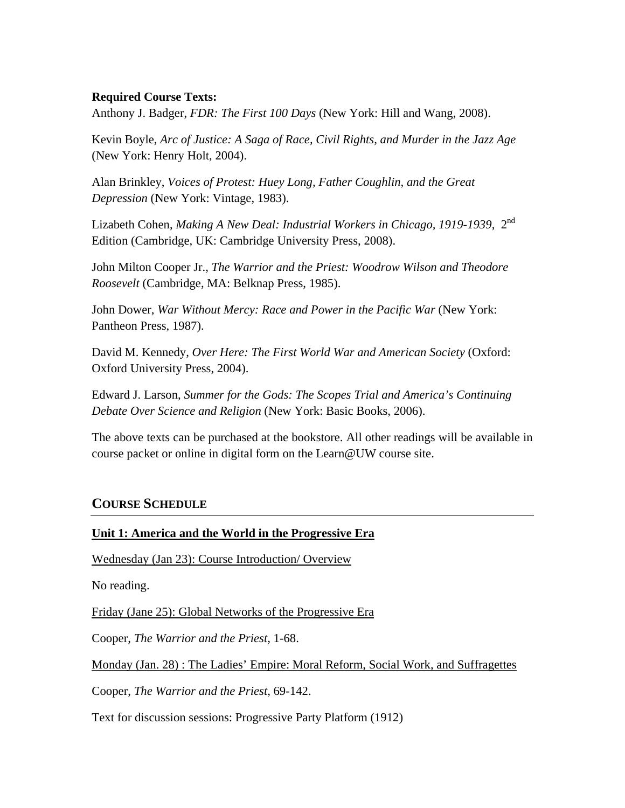## **Required Course Texts:**

Anthony J. Badger, *FDR: The First 100 Days* (New York: Hill and Wang, 2008).

Kevin Boyle, *Arc of Justice: A Saga of Race, Civil Rights, and Murder in the Jazz Age* (New York: Henry Holt, 2004).

Alan Brinkley, *Voices of Protest: Huey Long, Father Coughlin, and the Great Depression* (New York: Vintage, 1983).

Lizabeth Cohen, *Making A New Deal: Industrial Workers in Chicago, 1919-1939*, 2nd Edition (Cambridge, UK: Cambridge University Press, 2008).

John Milton Cooper Jr., *The Warrior and the Priest: Woodrow Wilson and Theodore Roosevelt* (Cambridge, MA: Belknap Press, 1985).

John Dower, *War Without Mercy: Race and Power in the Pacific War* (New York: Pantheon Press, 1987).

David M. Kennedy, *Over Here: The First World War and American Society* (Oxford: Oxford University Press, 2004).

Edward J. Larson, *Summer for the Gods: The Scopes Trial and America's Continuing Debate Over Science and Religion* (New York: Basic Books, 2006).

The above texts can be purchased at the bookstore. All other readings will be available in course packet or online in digital form on the Learn@UW course site.

# **COURSE SCHEDULE**

## **Unit 1: America and the World in the Progressive Era**

Wednesday (Jan 23): Course Introduction/ Overview

No reading.

Friday (Jane 25): Global Networks of the Progressive Era

Cooper, *The Warrior and the Priest*, 1-68.

Monday (Jan. 28) : The Ladies' Empire: Moral Reform, Social Work, and Suffragettes

Cooper, *The Warrior and the Priest*, 69-142.

Text for discussion sessions: Progressive Party Platform (1912)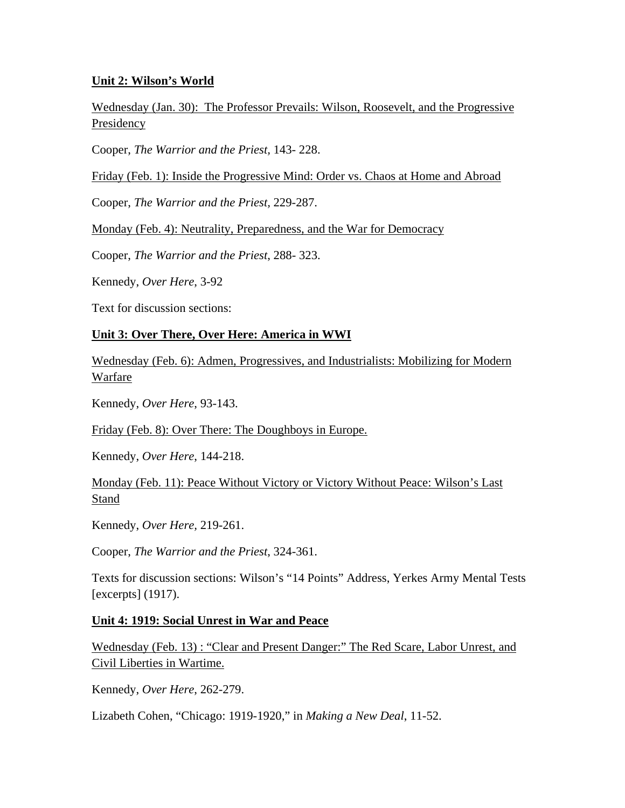## **Unit 2: Wilson's World**

Wednesday (Jan. 30): The Professor Prevails: Wilson, Roosevelt, and the Progressive Presidency

Cooper, *The Warrior and the Priest,* 143- 228.

Friday (Feb. 1): Inside the Progressive Mind: Order vs. Chaos at Home and Abroad

Cooper, *The Warrior and the Priest,* 229-287.

Monday (Feb. 4): Neutrality, Preparedness, and the War for Democracy

Cooper, *The Warrior and the Priest*, 288- 323.

Kennedy, *Over Here*, 3-92

Text for discussion sections:

## **Unit 3: Over There, Over Here: America in WWI**

Wednesday (Feb. 6): Admen, Progressives, and Industrialists: Mobilizing for Modern Warfare

Kennedy, *Over Here*, 93-143.

Friday (Feb. 8): Over There: The Doughboys in Europe.

Kennedy, *Over Here*, 144-218.

Monday (Feb. 11): Peace Without Victory or Victory Without Peace: Wilson's Last Stand

Kennedy, *Over Here,* 219-261.

Cooper, *The Warrior and the Priest*, 324-361.

Texts for discussion sections: Wilson's "14 Points" Address, Yerkes Army Mental Tests [excerpts] (1917).

## **Unit 4: 1919: Social Unrest in War and Peace**

Wednesday (Feb. 13) : "Clear and Present Danger:" The Red Scare, Labor Unrest, and Civil Liberties in Wartime.

Kennedy, *Over Here*, 262-279.

Lizabeth Cohen, "Chicago: 1919-1920," in *Making a New Deal*, 11-52.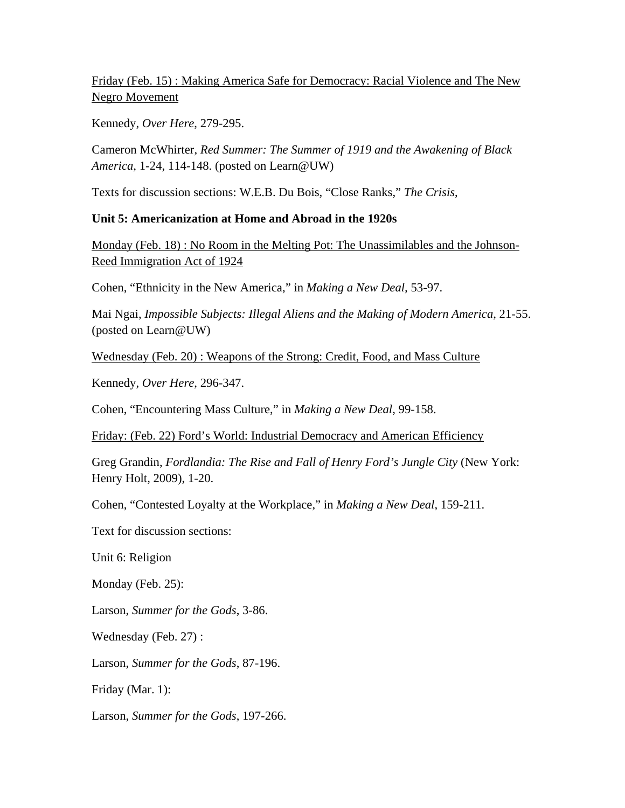Friday (Feb. 15) : Making America Safe for Democracy: Racial Violence and The New Negro Movement

Kennedy, *Over Here*, 279-295.

Cameron McWhirter, *Red Summer: The Summer of 1919 and the Awakening of Black America*, 1-24, 114-148. (posted on Learn@UW)

Texts for discussion sections: W.E.B. Du Bois, "Close Ranks," *The Crisis*,

## **Unit 5: Americanization at Home and Abroad in the 1920s**

Monday (Feb. 18) : No Room in the Melting Pot: The Unassimilables and the Johnson-Reed Immigration Act of 1924

Cohen, "Ethnicity in the New America," in *Making a New Deal,* 53-97.

Mai Ngai, *Impossible Subjects: Illegal Aliens and the Making of Modern America*, 21-55. (posted on Learn@UW)

Wednesday (Feb. 20) : Weapons of the Strong: Credit, Food, and Mass Culture

Kennedy, *Over Here*, 296-347.

Cohen, "Encountering Mass Culture," in *Making a New Deal*, 99-158.

Friday: (Feb. 22) Ford's World: Industrial Democracy and American Efficiency

Greg Grandin, *Fordlandia: The Rise and Fall of Henry Ford's Jungle City* (New York: Henry Holt, 2009), 1-20.

Cohen, "Contested Loyalty at the Workplace," in *Making a New Deal*, 159-211.

Text for discussion sections:

Unit 6: Religion

Monday (Feb. 25):

Larson, *Summer for the Gods*, 3-86.

Wednesday (Feb. 27) :

Larson, *Summer for the Gods*, 87-196.

Friday (Mar. 1):

Larson, *Summer for the Gods*, 197-266.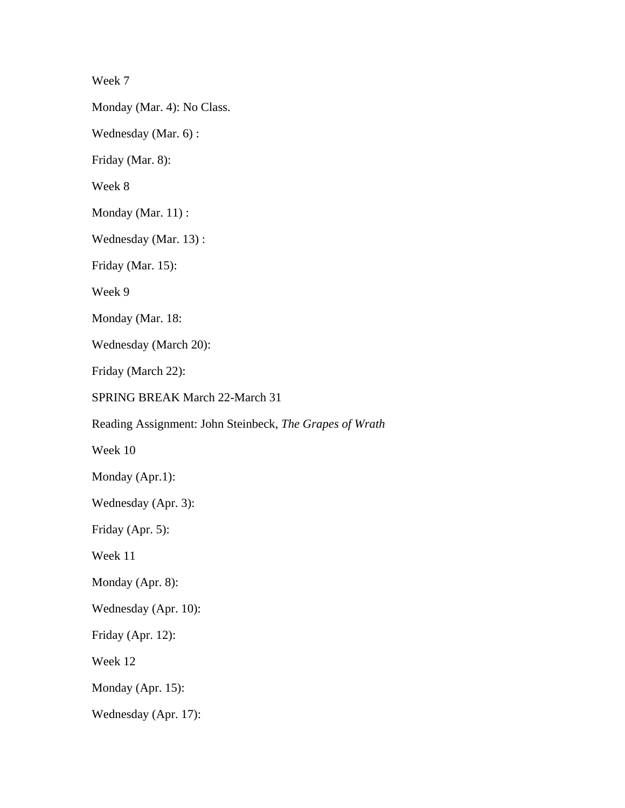Week 7

Monday (Mar. 4): No Class.

Wednesday (Mar. 6) :

Friday (Mar. 8):

Week 8

Monday (Mar. 11) :

Wednesday (Mar. 13) :

Friday (Mar. 15):

Week 9

Monday (Mar. 18:

Wednesday (March 20):

Friday (March 22):

SPRING BREAK March 22-March 31

Reading Assignment: John Steinbeck, *The Grapes of Wrath* 

Week 10

Monday (Apr.1):

Wednesday (Apr. 3):

Friday (Apr. 5):

Week 11

Monday (Apr. 8):

Wednesday (Apr. 10):

Friday (Apr. 12):

Week 12

Monday (Apr. 15):

Wednesday (Apr. 17):